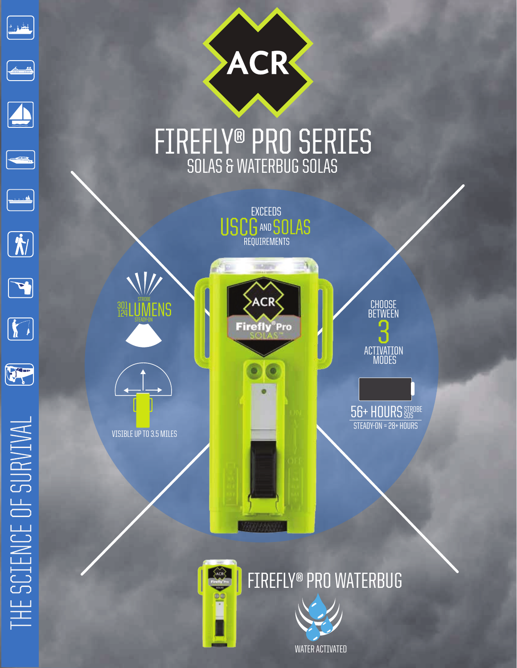

 $\mathcal{N}$ 

**ACR** 



VISIBLE UP TO 3.5 MILES

CHOOSE **BETWEEN ACTIVATION** MODES <u>ጋ</u>

56+ HOURS STROBE STEADY-ON = 28+ HOURS





n i i ivo

S





 $\boxed{\color{blue} \hat{\bm{\Lambda}}}$ 

 $\boxed{\blackcap}$